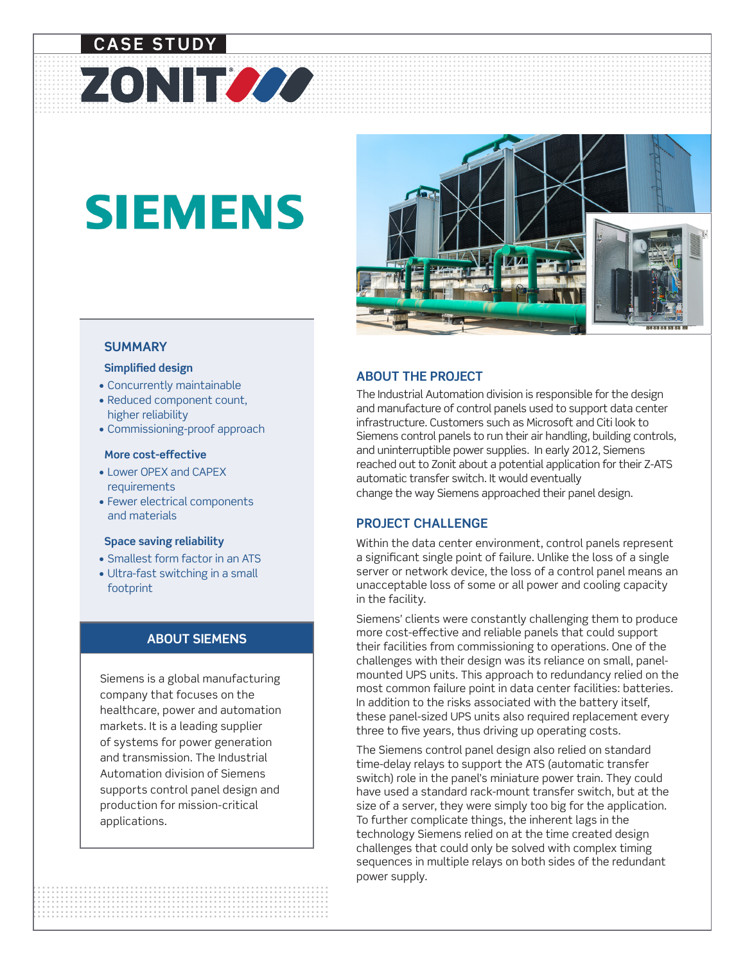# **CASE STUDY**

# **SIEMENS**

ZONITZZZ



#### **SUMMARY**

#### **Simplified design**

- Concurrently maintainable
- Reduced component count, higher reliability
- Commissioning-proof approach

#### **More cost-effective**

- Lower OPEX and CAPEX requirements
- Fewer electrical components and materials

#### **Space saving reliability**

- Smallest form factor in an ATS
- Ultra-fast switching in a small footprint

#### **ABOUT SIEMENS**

Siemens is a global manufacturing company that focuses on the healthcare, power and automation markets. It is a leading supplier of systems for power generation and transmission. The Industrial Automation division of Siemens supports control panel design and production for mission-critical applications.

#### **ABOUT THE PROJECT**

The Industrial Automation division is responsible for the design and manufacture of control panels used to support data center infrastructure. Customers such as Microsoft and Citi look to Siemens control panels to run their air handling, building controls, and uninterruptible power supplies. In early 2012, Siemens reached out to Zonit about a potential application for their Z-ATS automatic transfer switch. It would eventually change the way Siemens approached their panel design.

#### **PROJECT CHALLENGE**

Within the data center environment, control panels represent a significant single point of failure. Unlike the loss of a single server or network device, the loss of a control panel means an unacceptable loss of some or all power and cooling capacity in the facility.

Siemens' clients were constantly challenging them to produce more cost-effective and reliable panels that could support their facilities from commissioning to operations. One of the challenges with their design was its reliance on small, panelmounted UPS units. This approach to redundancy relied on the most common failure point in data center facilities: batteries. In addition to the risks associated with the battery itself, these panel-sized UPS units also required replacement every three to five years, thus driving up operating costs.

power supply. The Siemens control panel design also relied on standard time-delay relays to support the ATS (automatic transfer switch) role in the panel's miniature power train. They could have used a standard rack-mount transfer switch, but at the size of a server, they were simply too big for the application. To further complicate things, the inherent lags in the technology Siemens relied on at the time created design challenges that could only be solved with complex timing sequences in multiple relays on both sides of the redundant power supply.